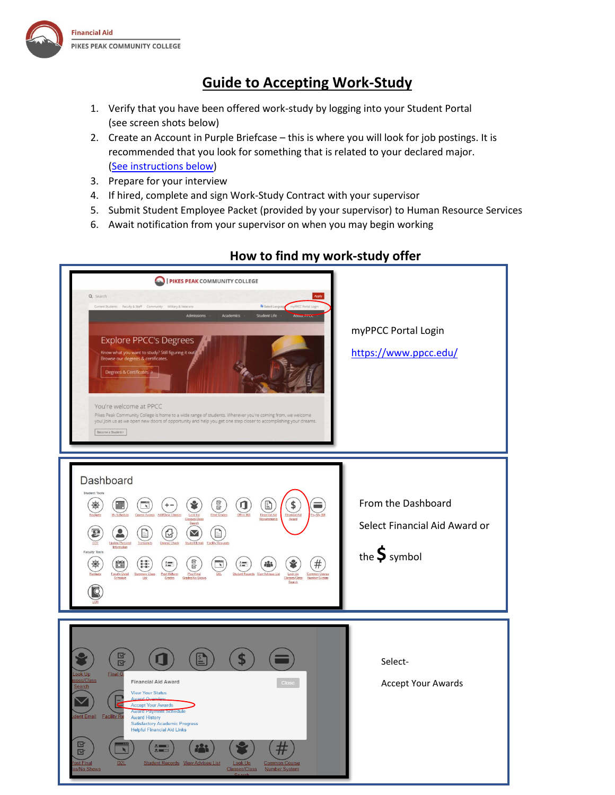

# **Guide to Accepting Work-Study**

- 1. Verify that you have been offered work-study by logging into your Student Portal (see screen shots below)
- 2. Create an Account in Purple Briefcase this is where you will look for job postings. It is recommended that you look for something that is related to your declared major. [\(See instructions below\)](#page-2-0)
- 3. Prepare for your interview
- 4. If hired, complete and sign Work-Study Contract with your supervisor
- 5. Submit Student Employee Packet (provided by your supervisor) to Human Resource Services
- 6. Await notification from your supervisor on when you may begin working



## **How to find my work-study offer**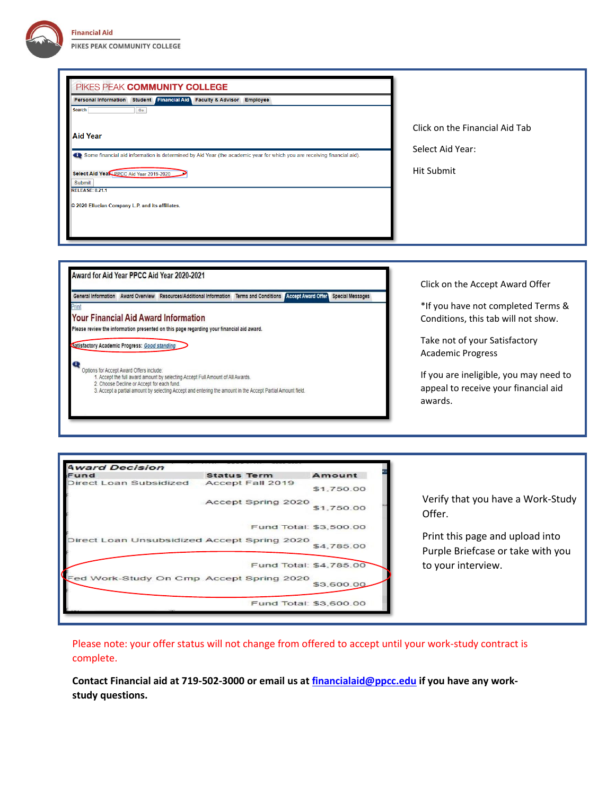| Personal Information Student Financial Aid Faculty & Advisor Employee<br><b>Search</b><br>Go<br><b>Aid Year</b><br>Some financial aid information is determined by Aid Year (the academic year for which you are receiving financial aid).<br>Select Aid Year PPCC Aid Year 2019-2020<br><b>Submit</b><br><b>RELEASE: 8.21.1</b><br>© 2020 Ellucian Company L.P. and its affiliates.                                                                                                                                                                                                                                                                                                                 | Click on the Financial Aid Tab<br>Select Aid Year:<br><b>Hit Submit</b>                                                                                                                                                                                                |
|------------------------------------------------------------------------------------------------------------------------------------------------------------------------------------------------------------------------------------------------------------------------------------------------------------------------------------------------------------------------------------------------------------------------------------------------------------------------------------------------------------------------------------------------------------------------------------------------------------------------------------------------------------------------------------------------------|------------------------------------------------------------------------------------------------------------------------------------------------------------------------------------------------------------------------------------------------------------------------|
| Award for Aid Year PPCC Aid Year 2020-2021<br>General Information Award Overview Resources/Additional Information Terms and Conditions Accept Award Offer<br><b>Special Messages</b><br><sup>o</sup> rint<br><b>Your Financial Aid Award Information</b><br>Please review the information presented on this page regarding your financial aid award.<br>Satisfactory Academic Progress: Good standing<br>Q<br>Options for Accept Award Offers include:<br>1. Accept the full award amount by selecting Accept Full Amount of All Awards.<br>2. Choose Decline or Accept for each fund.<br>3. Accept a partial amount by selecting Accept and entering the amount in the Accept Partial Amount field. | Click on the Accept Award Offer<br>*If you have not completed Terms &<br>Conditions, this tab will not show.<br>Take not of your Satisfactory<br><b>Academic Progress</b><br>If you are ineligible, you may need to<br>appeal to receive your financial aid<br>awards. |

| <b>Award Decision</b>                       |                        |            |                                                                      |
|---------------------------------------------|------------------------|------------|----------------------------------------------------------------------|
| Fund                                        | <b>Status Term</b>     | Amount     |                                                                      |
| Direct Loan Subsidized                      | Accept Fall 2019       | \$1,750.00 |                                                                      |
|                                             | Accept Spring 2020     | \$1,750.00 | Verify that you have a Work-Study<br>Offer.                          |
|                                             | Fund Total: \$3,500.00 |            |                                                                      |
| Direct Loan Unsubsidized Accept Spring 2020 |                        | \$4,785.00 | Print this page and upload into<br>Purple Briefcase or take with you |
|                                             | Fund Total: \$4,785.00 |            | to your interview.                                                   |
| Fed Work-Study On Cmp Accept Spring 2020    |                        | \$3,600.00 |                                                                      |
|                                             | Fund Total: \$3,600.00 |            |                                                                      |

Please note: your offer status will not change from offered to accept until your work-study contract is complete.

**Contact Financial aid at 719-502-3000 or email us a[t financialaid@ppcc.edu](mailto:financialaid@ppcc.edu) if you have any workstudy questions.**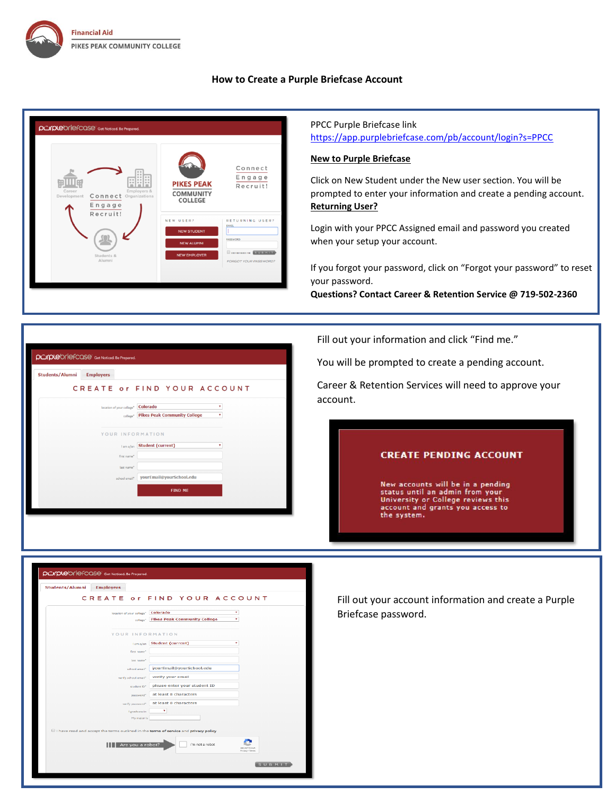

### **How to Create a Purple Briefcase Account**

<span id="page-2-0"></span>

## PPCC Purple Briefcase link <https://app.purplebriefcase.com/pb/account/login?s=PPCC>

### **New to Purple Briefcase**

Click on New Student under the New user section. You will be prompted to enter your information and create a pending account. **Returning User?**

Login with your PPCC Assigned email and password you created when your setup your account.

If you forgot your password, click on "Forgot your password" to reset your password.

**Questions? Contact Career & Retention Service @ 719-502-2360**

purplebriefcase Get Noticed. Be Prepared. Students/Alumni Employers CREATE or FIND YOUR ACCOUNT Incation of your college<sup>\*</sup> Colorado  $\overline{\mathbf{r}}$ college\* Pikes Peak Community College YOUR INFORMATION lama/an Student (current) first name\* last name\* school email\* yourEmail@yourSchool.edu FIND ME

Fill out your information and click "Find me."

You will be prompted to create a pending account.

Career & Retention Services will need to approve your account.

#### **CREATE PENDING ACCOUNT**

New accounts will be in a pending status until an admin from your<br>University or College reviews this<br>account and grants you access to<br>the system.

Fill out your account information and create a Purple Briefcase password.

| <b>Students/Alumni</b> | <b>Employers</b> |                                       |                                                                                         |                  |
|------------------------|------------------|---------------------------------------|-----------------------------------------------------------------------------------------|------------------|
|                        |                  |                                       | CREATE or FIND YOUR ACCOUNT                                                             |                  |
|                        |                  | location of your college*<br>college* | Colorado<br>٠<br><b>Pikes Peak Community College</b>                                    |                  |
|                        |                  |                                       | YOUR INFORMATION                                                                        |                  |
|                        |                  | Lam a/an                              | <b>Student (current)</b><br>۰                                                           |                  |
|                        |                  | first name*                           |                                                                                         |                  |
|                        |                  | last name*<br>school email*           | yourEmail@yourSchool.edu                                                                |                  |
|                        |                  | verify school email*                  | verify your email                                                                       |                  |
|                        |                  | student ID*                           | please enter your student ID                                                            |                  |
|                        |                  | password*                             | at least 8 characters                                                                   |                  |
|                        |                  | verify password*                      | at least 8 characters                                                                   |                  |
|                        |                  | I graduate in<br>My major is          | ٠                                                                                       |                  |
|                        |                  |                                       | If I have read and accept the terms outlined in the terms of service and privacy policy |                  |
|                        |                  | Are you a robot?                      | I'm not a robot.                                                                        | Prinacy - Terres |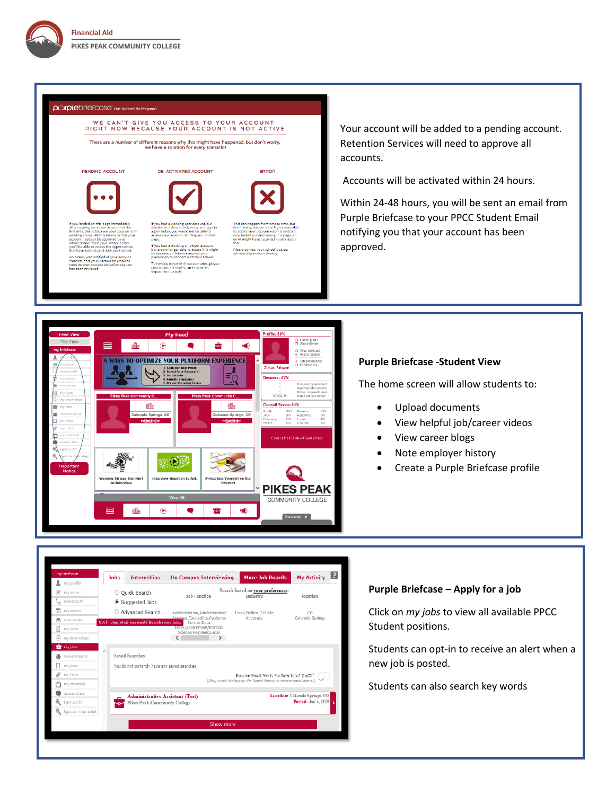#### purplebriefcase Get Noticed. Be Prep

# WE CAN'T GIVE YOU ACCESS TO YOUR ACCOUNT<br>RIGHT NOW BECAUSE YOUR ACCOUNT IS NOT ACTIVE

There are a number of different reasons why this might have happened, but don't worry,<br>we have a solution for every scenario!







**DE-ACTIVATED ACCOUNT** 



**Jobs** 

my score

my events

my docs

Ê.

巫  $\boxplus$  my prep

 $\mathscr{D}$  my links ŏ my channel career chats

i got a job! ۹

I eot an internship!

O Quick Search

Suggested Jobs

○ Advanced Search

Saved Searches

Not finding what you want? Search more jobs.

You do not currently have any saved searches

Pikes Peak Community College

**Administrative Assistant (Test)** 

If you had a working employer account,<br>but are no longer able to access it, it mig<br>be because an Admin removed your<br>permission to connect with their school. edy either of these scenarios, please

My Activity

location

CO<br>Colorado Springs

Location: Colorado Springs, CO<br>Posted: Jun 4, 2019

Please contact your school's caree<br>services department directly.

**ERROR** 

Your account will be added to a pending account. Retention Services will need to approve all accounts.

Accounts will be activated within 24 hours.

Within 24-48 hours, you will be sent an email from Purple Briefcase to your PPCC Student Email notifying you that your account has been approved.



**Example 19 Internalistic Control Control Control of the United States** 

Administration,Administrative/ Legal,Political / Public<br>Considers,Counseling,Customer Advocacy<br>Capito Entry,Gyermenet/Political<br>Entry,Gyermenet/Political<br>Science,Helpdesk,Legal<br>C<br>C >

Show more

Job Function

Search based on **your preferences:**<br>Industry

**Receive Email Alerts For New Jobs? On/Off** (Also, check the box by the Seved Search to receive email alerts.)

#### **Purple Briefcase -Student View**

The home screen will allow students to:

- Upload documents
- View helpful job/career videos
- View career blogs
- Note employer history
- Create a Purple Briefcase profile



Click on *my jobs* to view all available PPCC Student positions.

Students can opt-in to receive an alert when a new job is posted.

Students can also search key words